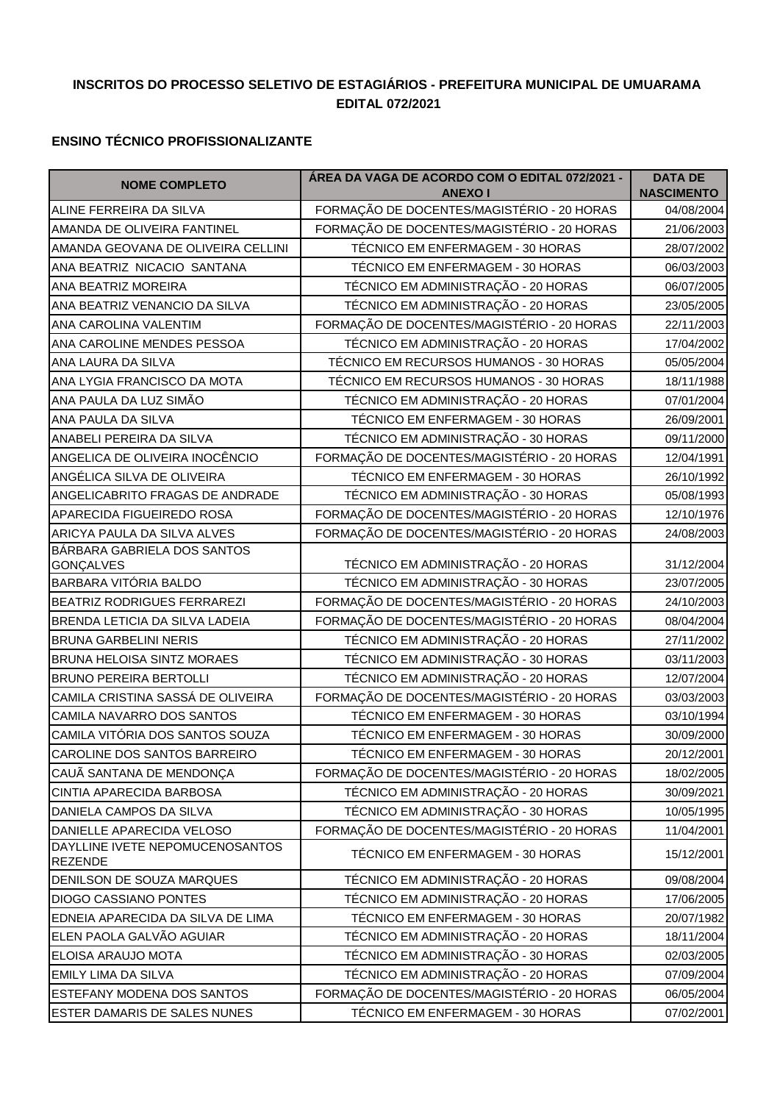## **INSCRITOS DO PROCESSO SELETIVO DE ESTAGIÁRIOS - PREFEITURA MUNICIPAL DE UMUARAMA EDITAL 072/2021**

## **ENSINO TÉCNICO PROFISSIONALIZANTE**

| <b>NOME COMPLETO</b>                              | ÁREA DA VAGA DE ACORDO COM O EDITAL 072/2021 -<br><b>ANEXO I</b> | <b>DATA DE</b><br><b>NASCIMENTO</b> |
|---------------------------------------------------|------------------------------------------------------------------|-------------------------------------|
| ALINE FERREIRA DA SILVA                           | FORMAÇÃO DE DOCENTES/MAGISTÉRIO - 20 HORAS                       | 04/08/2004                          |
| AMANDA DE OLIVEIRA FANTINEL                       | FORMAÇÃO DE DOCENTES/MAGISTÉRIO - 20 HORAS                       | 21/06/2003                          |
| AMANDA GEOVANA DE OLIVEIRA CELLINI                | TÉCNICO EM ENFERMAGEM - 30 HORAS                                 | 28/07/2002                          |
| ANA BEATRIZ NICACIO SANTANA                       | TÉCNICO EM ENFERMAGEM - 30 HORAS                                 | 06/03/2003                          |
| ANA BEATRIZ MOREIRA                               | TÉCNICO EM ADMINISTRAÇÃO - 20 HORAS                              | 06/07/2005                          |
| ANA BEATRIZ VENANCIO DA SILVA                     | TÉCNICO EM ADMINISTRAÇÃO - 20 HORAS                              | 23/05/2005                          |
| ANA CAROLINA VALENTIM                             | FORMAÇÃO DE DOCENTES/MAGISTÉRIO - 20 HORAS                       | 22/11/2003                          |
| ANA CAROLINE MENDES PESSOA                        | TÉCNICO EM ADMINISTRAÇÃO - 20 HORAS                              | 17/04/2002                          |
| ANA LAURA DA SILVA                                | TÉCNICO EM RECURSOS HUMANOS - 30 HORAS                           | 05/05/2004                          |
| ANA LYGIA FRANCISCO DA MOTA                       | TÉCNICO EM RECURSOS HUMANOS - 30 HORAS                           | 18/11/1988                          |
| ANA PAULA DA LUZ SIMÃO                            | TÉCNICO EM ADMINISTRAÇÃO - 20 HORAS                              | 07/01/2004                          |
| ANA PAULA DA SILVA                                | TÉCNICO EM ENFERMAGEM - 30 HORAS                                 | 26/09/2001                          |
| ANABELI PEREIRA DA SILVA                          | TÉCNICO EM ADMINISTRAÇÃO - 30 HORAS                              | 09/11/2000                          |
| ANGELICA DE OLIVEIRA INOCÊNCIO                    | FORMAÇÃO DE DOCENTES/MAGISTÉRIO - 20 HORAS                       | 12/04/1991                          |
| ANGÉLICA SILVA DE OLIVEIRA                        | TÉCNICO EM ENFERMAGEM - 30 HORAS                                 | 26/10/1992                          |
| ANGELICABRITO FRAGAS DE ANDRADE                   | TÉCNICO EM ADMINISTRAÇÃO - 30 HORAS                              | 05/08/1993                          |
| APARECIDA FIGUEIREDO ROSA                         | FORMAÇÃO DE DOCENTES/MAGISTÉRIO - 20 HORAS                       | 12/10/1976                          |
| ARICYA PAULA DA SILVA ALVES                       | FORMAÇÃO DE DOCENTES/MAGISTÉRIO - 20 HORAS                       | 24/08/2003                          |
| BÁRBARA GABRIELA DOS SANTOS<br>GONÇALVES          | TÉCNICO EM ADMINISTRAÇÃO - 20 HORAS                              | 31/12/2004                          |
| BARBARA VITÓRIA BALDO                             | TÉCNICO EM ADMINISTRAÇÃO - 30 HORAS                              | 23/07/2005                          |
| BEATRIZ RODRIGUES FERRAREZI                       | FORMAÇÃO DE DOCENTES/MAGISTÉRIO - 20 HORAS                       | 24/10/2003                          |
| BRENDA LETICIA DA SILVA LADEIA                    | FORMAÇÃO DE DOCENTES/MAGISTÉRIO - 20 HORAS                       | 08/04/2004                          |
| <b>BRUNA GARBELINI NERIS</b>                      | TÉCNICO EM ADMINISTRAÇÃO - 20 HORAS                              | 27/11/2002                          |
| BRUNA HELOISA SINTZ MORAES                        | TÉCNICO EM ADMINISTRAÇÃO - 30 HORAS                              | 03/11/2003                          |
| <b>BRUNO PEREIRA BERTOLLI</b>                     | TÉCNICO EM ADMINISTRAÇÃO - 20 HORAS                              | 12/07/2004                          |
| CAMILA CRISTINA SASSÁ DE OLIVEIRA                 | FORMAÇÃO DE DOCENTES/MAGISTÉRIO - 20 HORAS                       | 03/03/2003                          |
| CAMILA NAVARRO DOS SANTOS                         | TÉCNICO EM ENFERMAGEM - 30 HORAS                                 | 03/10/1994                          |
| CAMILA VITÓRIA DOS SANTOS SOUZA                   | TÉCNICO EM ENFERMAGEM - 30 HORAS                                 | 30/09/2000                          |
| CAROLINE DOS SANTOS BARREIRO                      | TÉCNICO EM ENFERMAGEM - 30 HORAS                                 | 20/12/2001                          |
| CAUÃ SANTANA DE MENDONÇA                          | FORMAÇÃO DE DOCENTES/MAGISTÉRIO - 20 HORAS                       | 18/02/2005                          |
| CINTIA APARECIDA BARBOSA                          | TÉCNICO EM ADMINISTRAÇÃO - 20 HORAS                              | 30/09/2021                          |
| DANIELA CAMPOS DA SILVA                           | TÉCNICO EM ADMINISTRAÇÃO - 30 HORAS                              | 10/05/1995                          |
| DANIELLE APARECIDA VELOSO                         | FORMAÇÃO DE DOCENTES/MAGISTÉRIO - 20 HORAS                       | 11/04/2001                          |
| DAYLLINE IVETE NEPOMUCENOSANTOS<br><b>REZENDE</b> | TÉCNICO EM ENFERMAGEM - 30 HORAS                                 | 15/12/2001                          |
| DENILSON DE SOUZA MARQUES                         | TÉCNICO EM ADMINISTRAÇÃO - 20 HORAS                              | 09/08/2004                          |
| <b>DIOGO CASSIANO PONTES</b>                      | TÉCNICO EM ADMINISTRAÇÃO - 20 HORAS                              | 17/06/2005                          |
| EDNEIA APARECIDA DA SILVA DE LIMA                 | TÉCNICO EM ENFERMAGEM - 30 HORAS                                 | 20/07/1982                          |
| ELEN PAOLA GALVÃO AGUIAR                          | TÉCNICO EM ADMINISTRAÇÃO - 20 HORAS                              | 18/11/2004                          |
| ELOISA ARAUJO MOTA                                | TÉCNICO EM ADMINISTRAÇÃO - 30 HORAS                              | 02/03/2005                          |
| <b>EMILY LIMA DA SILVA</b>                        | TÉCNICO EM ADMINISTRAÇÃO - 20 HORAS                              | 07/09/2004                          |
| <b>ESTEFANY MODENA DOS SANTOS</b>                 | FORMAÇÃO DE DOCENTES/MAGISTÉRIO - 20 HORAS                       | 06/05/2004                          |
| <b>ESTER DAMARIS DE SALES NUNES</b>               | TÉCNICO EM ENFERMAGEM - 30 HORAS                                 | 07/02/2001                          |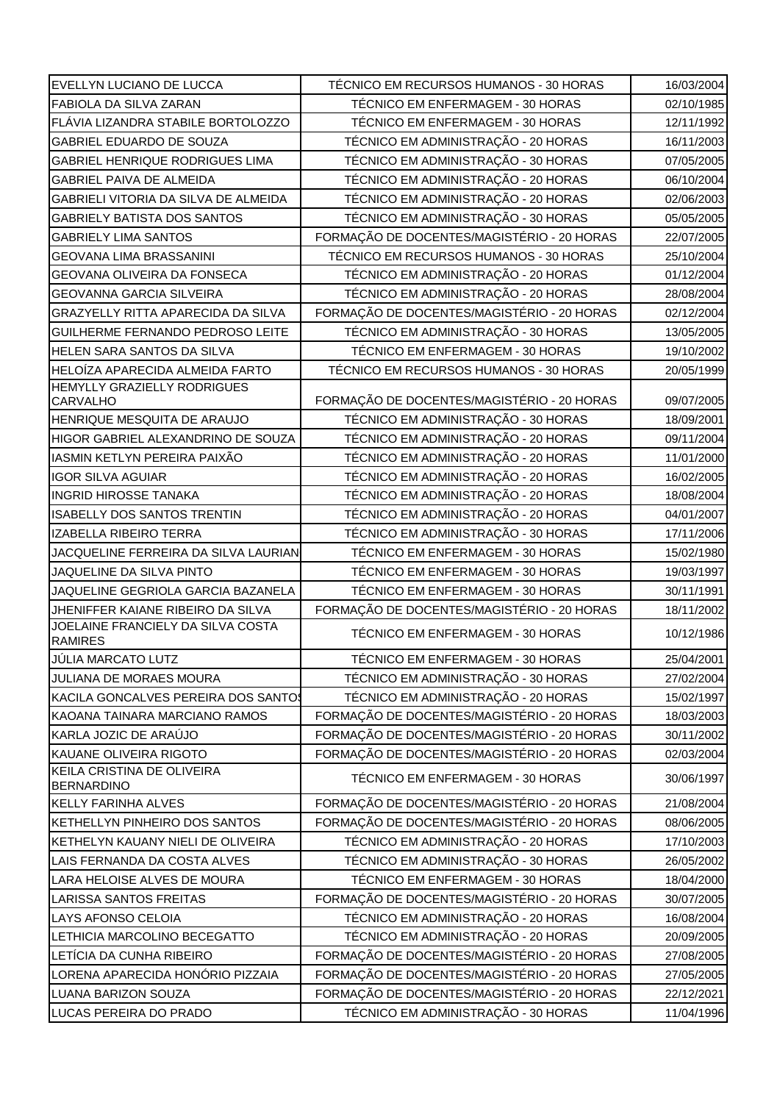| EVELLYN LUCIANO DE LUCCA                                       | TÉCNICO EM RECURSOS HUMANOS - 30 HORAS                                         | 16/03/2004               |
|----------------------------------------------------------------|--------------------------------------------------------------------------------|--------------------------|
| <b>FABIOLA DA SILVA ZARAN</b>                                  | TÉCNICO EM ENFERMAGEM - 30 HORAS                                               | 02/10/1985               |
| FLÁVIA LIZANDRA STABILE BORTOLOZZO                             | TÉCNICO EM ENFERMAGEM - 30 HORAS                                               | 12/11/1992               |
| GABRIEL EDUARDO DE SOUZA                                       | TÉCNICO EM ADMINISTRAÇÃO - 20 HORAS                                            | 16/11/2003               |
| <b>GABRIEL HENRIQUE RODRIGUES LIMA</b>                         | TÉCNICO EM ADMINISTRAÇÃO - 30 HORAS                                            | 07/05/2005               |
| <b>GABRIEL PAIVA DE ALMEIDA</b>                                | TÉCNICO EM ADMINISTRAÇÃO - 20 HORAS                                            | 06/10/2004               |
| GABRIELI VITORIA DA SILVA DE ALMEIDA                           | TÉCNICO EM ADMINISTRAÇÃO - 20 HORAS                                            | 02/06/2003               |
| <b>GABRIELY BATISTA DOS SANTOS</b>                             | TÉCNICO EM ADMINISTRAÇÃO - 30 HORAS                                            | 05/05/2005               |
| <b>GABRIELY LIMA SANTOS</b>                                    | FORMAÇÃO DE DOCENTES/MAGISTÉRIO - 20 HORAS                                     | 22/07/2005               |
| <b>GEOVANA LIMA BRASSANINI</b>                                 | TÉCNICO EM RECURSOS HUMANOS - 30 HORAS                                         | 25/10/2004               |
| GEOVANA OLIVEIRA DA FONSECA                                    | TÉCNICO EM ADMINISTRAÇÃO - 20 HORAS                                            | 01/12/2004               |
| <b>GEOVANNA GARCIA SILVEIRA</b>                                | TÉCNICO EM ADMINISTRAÇÃO - 20 HORAS                                            | 28/08/2004               |
| <b>GRAZYELLY RITTA APARECIDA DA SILVA</b>                      | FORMAÇÃO DE DOCENTES/MAGISTÉRIO - 20 HORAS                                     | 02/12/2004               |
| GUILHERME FERNANDO PEDROSO LEITE                               | TÉCNICO EM ADMINISTRAÇÃO - 30 HORAS                                            | 13/05/2005               |
| <b>HELEN SARA SANTOS DA SILVA</b>                              | TÉCNICO EM ENFERMAGEM - 30 HORAS                                               | 19/10/2002               |
| <b>HELOÍZA APARECIDA ALMEIDA FARTO</b>                         | TÉCNICO EM RECURSOS HUMANOS - 30 HORAS                                         | 20/05/1999               |
| <b>HEMYLLY GRAZIELLY RODRIGUES</b>                             |                                                                                |                          |
| <b>CARVALHO</b>                                                | FORMAÇÃO DE DOCENTES/MAGISTÉRIO - 20 HORAS                                     | 09/07/2005               |
| HENRIQUE MESQUITA DE ARAUJO                                    | TÉCNICO EM ADMINISTRAÇÃO - 30 HORAS                                            | 18/09/2001               |
| HIGOR GABRIEL ALEXANDRINO DE SOUZA                             | TÉCNICO EM ADMINISTRAÇÃO - 20 HORAS                                            | 09/11/2004               |
| IASMIN KETLYN PEREIRA PAIXÃO                                   | TÉCNICO EM ADMINISTRAÇÃO - 20 HORAS                                            | 11/01/2000               |
| <b>IGOR SILVA AGUIAR</b>                                       | TÉCNICO EM ADMINISTRAÇÃO - 20 HORAS                                            | 16/02/2005               |
| <b>INGRID HIROSSE TANAKA</b>                                   | TÉCNICO EM ADMINISTRAÇÃO - 20 HORAS                                            | 18/08/2004               |
| <b>ISABELLY DOS SANTOS TRENTIN</b>                             | TÉCNICO EM ADMINISTRAÇÃO - 20 HORAS                                            | 04/01/2007               |
| IZABELLA RIBEIRO TERRA                                         | TÉCNICO EM ADMINISTRAÇÃO - 30 HORAS                                            | 17/11/2006               |
| JACQUELINE FERREIRA DA SILVA LAURIAN                           | TÉCNICO EM ENFERMAGEM - 30 HORAS                                               | 15/02/1980               |
| JAQUELINE DA SILVA PINTO<br>JAQUELINE GEGRIOLA GARCIA BAZANELA | TÉCNICO EM ENFERMAGEM - 30 HORAS                                               | 19/03/1997               |
| JHENIFFER KAIANE RIBEIRO DA SILVA                              | TÉCNICO EM ENFERMAGEM - 30 HORAS<br>FORMAÇÃO DE DOCENTES/MAGISTÉRIO - 20 HORAS | 30/11/1991<br>18/11/2002 |
| JOELAINE FRANCIELY DA SILVA COSTA                              |                                                                                |                          |
| <b>RAMIRES</b>                                                 | TÉCNICO EM ENFERMAGEM - 30 HORAS                                               | 10/12/1986               |
| JÚLIA MARCATO LUTZ                                             | TÉCNICO EM ENFERMAGEM - 30 HORAS                                               | 25/04/2001               |
| JULIANA DE MORAES MOURA                                        | TÉCNICO EM ADMINISTRAÇÃO - 30 HORAS                                            | 27/02/2004               |
| KACILA GONCALVES PEREIRA DOS SANTOS                            | TÉCNICO EM ADMINISTRAÇÃO - 20 HORAS                                            | 15/02/1997               |
| KAOANA TAINARA MARCIANO RAMOS                                  | FORMAÇÃO DE DOCENTES/MAGISTÉRIO - 20 HORAS                                     | 18/03/2003               |
| KARLA JOZIC DE ARAÚJO                                          | FORMAÇÃO DE DOCENTES/MAGISTÉRIO - 20 HORAS                                     | 30/11/2002               |
| KAUANE OLIVEIRA RIGOTO                                         | FORMAÇÃO DE DOCENTES/MAGISTÉRIO - 20 HORAS                                     | 02/03/2004               |
| KEILA CRISTINA DE OLIVEIRA<br><b>BERNARDINO</b>                | TÉCNICO EM ENFERMAGEM - 30 HORAS                                               | 30/06/1997               |
| <b>KELLY FARINHA ALVES</b>                                     | FORMAÇÃO DE DOCENTES/MAGISTÉRIO - 20 HORAS                                     | 21/08/2004               |
| KETHELLYN PINHEIRO DOS SANTOS                                  | FORMAÇÃO DE DOCENTES/MAGISTÉRIO - 20 HORAS                                     | 08/06/2005               |
| KETHELYN KAUANY NIELI DE OLIVEIRA                              | TÉCNICO EM ADMINISTRAÇÃO - 20 HORAS                                            | 17/10/2003               |
| LAIS FERNANDA DA COSTA ALVES                                   | TÉCNICO EM ADMINISTRAÇÃO - 30 HORAS                                            | 26/05/2002               |
| LARA HELOISE ALVES DE MOURA                                    | TÉCNICO EM ENFERMAGEM - 30 HORAS                                               | 18/04/2000               |
| <b>LARISSA SANTOS FREITAS</b>                                  | FORMAÇÃO DE DOCENTES/MAGISTÉRIO - 20 HORAS                                     | 30/07/2005               |
| LAYS AFONSO CELOIA                                             | TÉCNICO EM ADMINISTRAÇÃO - 20 HORAS                                            | 16/08/2004               |
| LETHICIA MARCOLINO BECEGATTO                                   | TÉCNICO EM ADMINISTRAÇÃO - 20 HORAS                                            | 20/09/2005               |
| LETÍCIA DA CUNHA RIBEIRO                                       | FORMAÇÃO DE DOCENTES/MAGISTÉRIO - 20 HORAS                                     | 27/08/2005               |
| LORENA APARECIDA HONÓRIO PIZZAIA                               | FORMAÇÃO DE DOCENTES/MAGISTÉRIO - 20 HORAS                                     | 27/05/2005               |
| LUANA BARIZON SOUZA                                            | FORMAÇÃO DE DOCENTES/MAGISTÉRIO - 20 HORAS                                     | 22/12/2021               |
| LUCAS PEREIRA DO PRADO                                         | TÉCNICO EM ADMINISTRAÇÃO - 30 HORAS                                            | 11/04/1996               |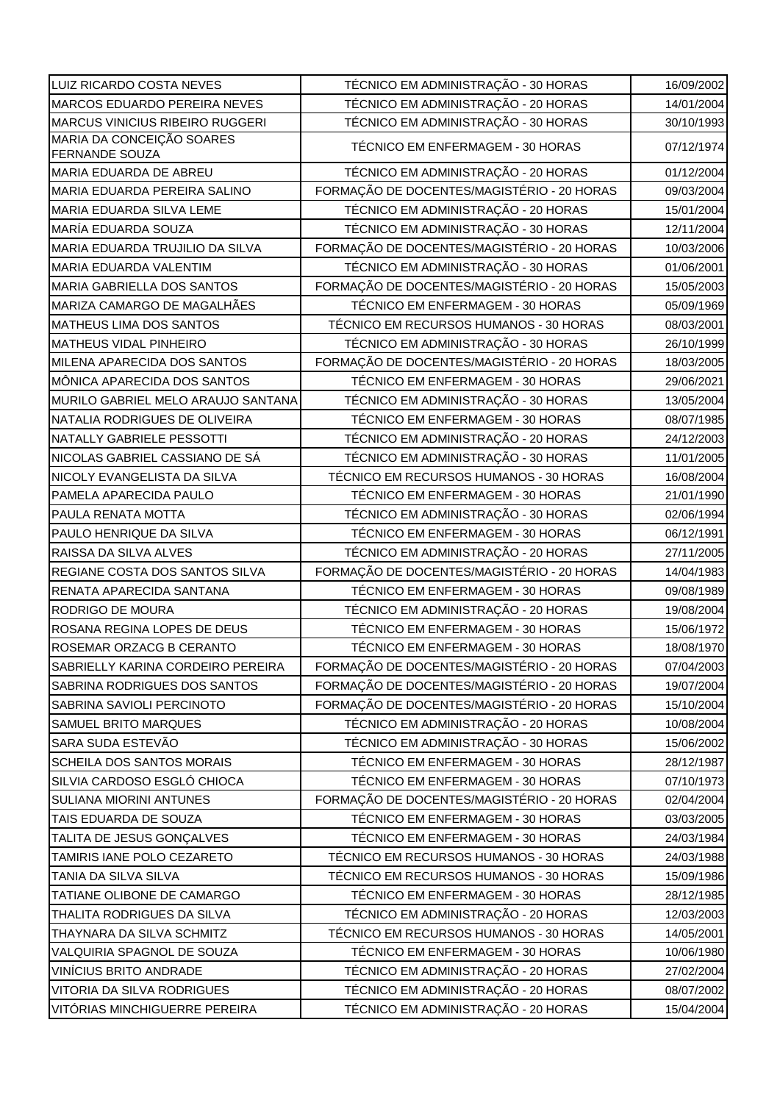| LUIZ RICARDO COSTA NEVES                    | TÉCNICO EM ADMINISTRAÇÃO - 30 HORAS        | 16/09/2002 |
|---------------------------------------------|--------------------------------------------|------------|
| MARCOS EDUARDO PEREIRA NEVES                | TÉCNICO EM ADMINISTRAÇÃO - 20 HORAS        | 14/01/2004 |
| MARCUS VINICIUS RIBEIRO RUGGERI             | TÉCNICO EM ADMINISTRAÇÃO - 30 HORAS        | 30/10/1993 |
| MARIA DA CONCEIÇÃO SOARES<br>FERNANDE SOUZA | TÉCNICO EM ENFERMAGEM - 30 HORAS           | 07/12/1974 |
| MARIA EDUARDA DE ABREU                      | TÉCNICO EM ADMINISTRAÇÃO - 20 HORAS        | 01/12/2004 |
| MARIA EDUARDA PEREIRA SALINO                | FORMAÇÃO DE DOCENTES/MAGISTÉRIO - 20 HORAS | 09/03/2004 |
| MARIA EDUARDA SILVA LEME                    | TÉCNICO EM ADMINISTRAÇÃO - 20 HORAS        | 15/01/2004 |
| MARÍA EDUARDA SOUZA                         | TÉCNICO EM ADMINISTRAÇÃO - 30 HORAS        | 12/11/2004 |
| MARIA EDUARDA TRUJILIO DA SILVA             | FORMAÇÃO DE DOCENTES/MAGISTÉRIO - 20 HORAS | 10/03/2006 |
| MARIA EDUARDA VALENTIM                      | TÉCNICO EM ADMINISTRAÇÃO - 30 HORAS        | 01/06/2001 |
| <b>MARIA GABRIELLA DOS SANTOS</b>           | FORMAÇÃO DE DOCENTES/MAGISTÉRIO - 20 HORAS | 15/05/2003 |
| MARIZA CAMARGO DE MAGALHÃES                 | TÉCNICO EM ENFERMAGEM - 30 HORAS           | 05/09/1969 |
| MATHEUS LIMA DOS SANTOS                     | TÉCNICO EM RECURSOS HUMANOS - 30 HORAS     | 08/03/2001 |
| <b>MATHEUS VIDAL PINHEIRO</b>               | TÉCNICO EM ADMINISTRAÇÃO - 30 HORAS        | 26/10/1999 |
| MILENA APARECIDA DOS SANTOS                 | FORMAÇÃO DE DOCENTES/MAGISTÉRIO - 20 HORAS | 18/03/2005 |
| MÔNICA APARECIDA DOS SANTOS                 | TÉCNICO EM ENFERMAGEM - 30 HORAS           | 29/06/2021 |
| MURILO GABRIEL MELO ARAUJO SANTANA          | TÉCNICO EM ADMINISTRAÇÃO - 30 HORAS        | 13/05/2004 |
| NATALIA RODRIGUES DE OLIVEIRA               | TÉCNICO EM ENFERMAGEM - 30 HORAS           | 08/07/1985 |
| NATALLY GABRIELE PESSOTTI                   | TÉCNICO EM ADMINISTRAÇÃO - 20 HORAS        | 24/12/2003 |
| NICOLAS GABRIEL CASSIANO DE SÁ              | TÉCNICO EM ADMINISTRAÇÃO - 30 HORAS        | 11/01/2005 |
| NICOLY EVANGELISTA DA SILVA                 | TÉCNICO EM RECURSOS HUMANOS - 30 HORAS     | 16/08/2004 |
| PAMELA APARECIDA PAULO                      | TÉCNICO EM ENFERMAGEM - 30 HORAS           | 21/01/1990 |
| PAULA RENATA MOTTA                          | TÉCNICO EM ADMINISTRAÇÃO - 30 HORAS        | 02/06/1994 |
| PAULO HENRIQUE DA SILVA                     | TÉCNICO EM ENFERMAGEM - 30 HORAS           | 06/12/1991 |
| RAISSA DA SILVA ALVES                       | TÉCNICO EM ADMINISTRAÇÃO - 20 HORAS        | 27/11/2005 |
| REGIANE COSTA DOS SANTOS SILVA              | FORMAÇÃO DE DOCENTES/MAGISTÉRIO - 20 HORAS | 14/04/1983 |
| RENATA APARECIDA SANTANA                    | TÉCNICO EM ENFERMAGEM - 30 HORAS           | 09/08/1989 |
| RODRIGO DE MOURA                            | TÉCNICO EM ADMINISTRAÇÃO - 20 HORAS        | 19/08/2004 |
| ROSANA REGINA LOPES DE DEUS                 | TÉCNICO EM ENFERMAGEM - 30 HORAS           | 15/06/1972 |
| ROSEMAR ORZACG B CERANTO                    | TÉCNICO EM ENFERMAGEM - 30 HORAS           | 18/08/1970 |
| SABRIELLY KARINA CORDEIRO PEREIRA           | FORMAÇÃO DE DOCENTES/MAGISTÉRIO - 20 HORAS | 07/04/2003 |
| SABRINA RODRIGUES DOS SANTOS                | FORMAÇÃO DE DOCENTES/MAGISTÉRIO - 20 HORAS | 19/07/2004 |
| SABRINA SAVIOLI PERCINOTO                   | FORMAÇÃO DE DOCENTES/MAGISTÉRIO - 20 HORAS | 15/10/2004 |
| SAMUEL BRITO MARQUES                        | TÉCNICO EM ADMINISTRAÇÃO - 20 HORAS        | 10/08/2004 |
| SARA SUDA ESTEVÃO                           | TÉCNICO EM ADMINISTRAÇÃO - 30 HORAS        | 15/06/2002 |
| <b>SCHEILA DOS SANTOS MORAIS</b>            | TÉCNICO EM ENFERMAGEM - 30 HORAS           | 28/12/1987 |
| SILVIA CARDOSO ESGLÓ CHIOCA                 | TÉCNICO EM ENFERMAGEM - 30 HORAS           | 07/10/1973 |
| SULIANA MIORINI ANTUNES                     | FORMAÇÃO DE DOCENTES/MAGISTÉRIO - 20 HORAS | 02/04/2004 |
| TAIS EDUARDA DE SOUZA                       | TÉCNICO EM ENFERMAGEM - 30 HORAS           | 03/03/2005 |
| TALITA DE JESUS GONÇALVES                   | TÉCNICO EM ENFERMAGEM - 30 HORAS           | 24/03/1984 |
| TAMIRIS IANE POLO CEZARETO                  | TÉCNICO EM RECURSOS HUMANOS - 30 HORAS     | 24/03/1988 |
| TANIA DA SILVA SILVA                        | TÉCNICO EM RECURSOS HUMANOS - 30 HORAS     | 15/09/1986 |
| TATIANE OLIBONE DE CAMARGO                  | TÉCNICO EM ENFERMAGEM - 30 HORAS           | 28/12/1985 |
| THALITA RODRIGUES DA SILVA                  | TÉCNICO EM ADMINISTRAÇÃO - 20 HORAS        | 12/03/2003 |
| THAYNARA DA SILVA SCHMITZ                   | TÉCNICO EM RECURSOS HUMANOS - 30 HORAS     | 14/05/2001 |
| VALQUIRIA SPAGNOL DE SOUZA                  | TÉCNICO EM ENFERMAGEM - 30 HORAS           | 10/06/1980 |
| VINÍCIUS BRITO ANDRADE                      | TÉCNICO EM ADMINISTRAÇÃO - 20 HORAS        | 27/02/2004 |
| VITORIA DA SILVA RODRIGUES                  | TÉCNICO EM ADMINISTRAÇÃO - 20 HORAS        | 08/07/2002 |
| VITÓRIAS MINCHIGUERRE PEREIRA               | TÉCNICO EM ADMINISTRAÇÃO - 20 HORAS        | 15/04/2004 |